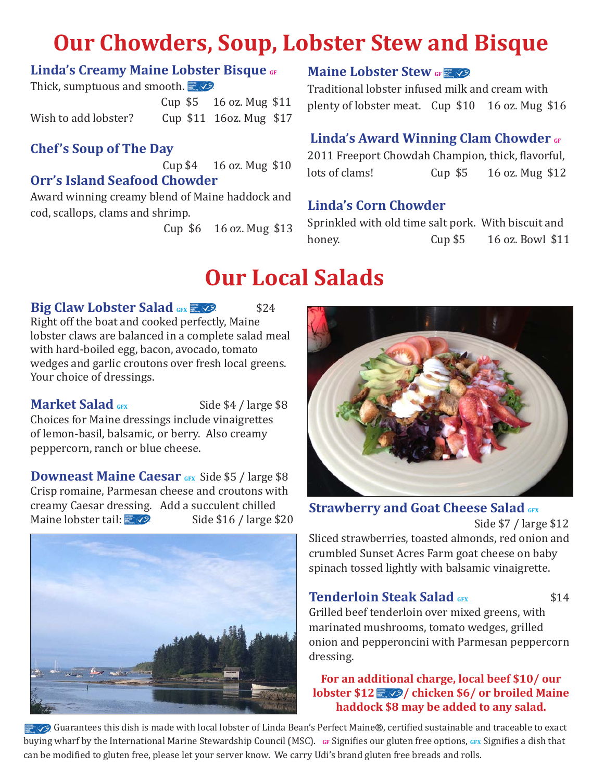# **Our Chowders, Soup, Lobster Stew and Bisque**

### **Linda's Creamy Maine Lobster Bisque GF**

Thick, sumptuous and smooth.

 Cup \$5 16 oz. Mug \$11 Wish to add lobster? Cup \$11 16oz. Mug \$17

# **Chef's Soup of The Day**

Cup \$4 16 oz. Mug \$10

#### **Orr's Island Seafood Chowder**

Award winning creamy blend of Maine haddock and cod, scallops, clams and shrimp.

Cup \$6 16 oz. Mug \$13

# **Maine Lobster Stew** GF

Traditional lobster infused milk and cream with plenty of lobster meat. Cup \$10 16 oz. Mug \$16

# **Linda's Award Winning Clam Chowder GF**

2011 Freeport Chowdah Champion, thick, flavorful, lots of clams! Cup \$5 16 oz. Mug \$12

# **Linda's Corn Chowder**

Sprinkled with old time salt pork. With biscuit and honey. Cup \$5 16 oz. Bowl \$11

# **Our Local Salads**

#### **Big Claw Lobster Salad <b>GFX**  $\frac{1}{2}$  624

Right off the boat and cooked perfectly, Maine lobster claws are balanced in a complete salad meal with hard-boiled egg, bacon, avocado, tomato wedges and garlic croutons over fresh local greens. Your choice of dressings.

**Market Salad** GFX Side \$4 / large \$8 Choices for Maine dressings include vinaigrettes of lemon-basil, balsamic, or berry. Also creamy peppercorn, ranch or blue cheese.

**Downeast Maine Caesar GFX** Side \$5 / large \$8 Crisp romaine, Parmesan cheese and croutons with creamy Caesar dressing. Add a succulent chilled<br>Maine lobster tail:  $\Box$ Side \$16 / large \$20





**Strawberry and Goat Cheese Salad GFX** Side \$7 / large \$12 Sliced strawberries, toasted almonds, red onion and

crumbled Sunset Acres Farm goat cheese on baby spinach tossed lightly with balsamic vinaigrette.

#### **Tenderloin Steak Salad GFX** \$14

Grilled beef tenderloin over mixed greens, with marinated mushrooms, tomato wedges, grilled onion and pepperoncini with Parmesan peppercorn dressing.

#### **For an additional charge, local beef \$10/ our lobster \$12 6/ chicken \$6/ or broiled Maine haddock \$8 may be added to any salad.**

Guarantees this dish is made with local lobster of Linda Bean's Perfect Maine®, certified sustainable and traceable to exact buying wharf by the International Marine Stewardship Council (MSC). **GF** Signifies our gluten free options, **GFX** Signifies a dish that can be modified to gluten free, please let your server know. We carry Udi's brand gluten free breads and rolls.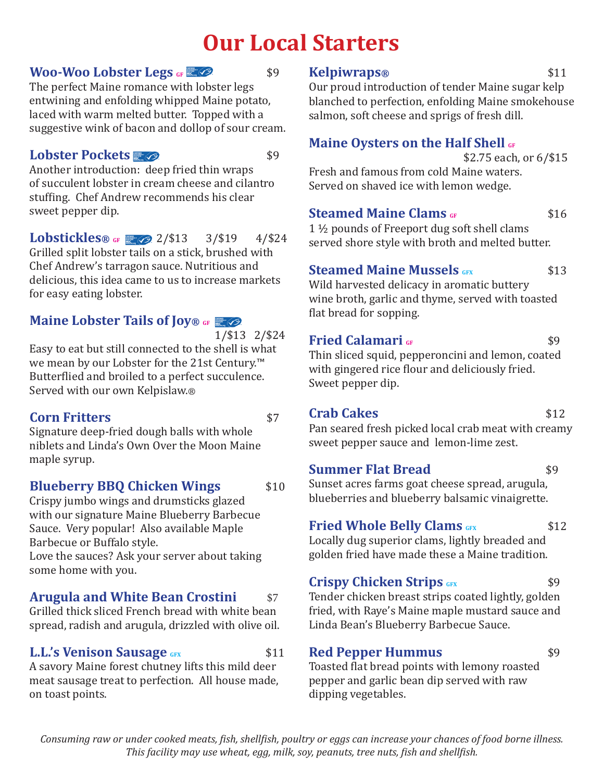# **Our Local Starters**

#### **Woo-Woo Lobster Legs GF**  $\otimes$  \$9

The perfect Maine romance with lobster legs entwining and enfolding whipped Maine potato, laced with warm melted butter. Topped with a suggestive wink of bacon and dollop of sour cream.

# **Lobster Pockets <b>Fig.** 69

Another introduction: deep fried thin wraps of succulent lobster in cream cheese and cilantro stuffing. Chef Andrew recommends his clear sweet pepper dip.

**Lobstickles® GF Z** 2/\$13 3/\$19 4/\$24 Grilled split lobster tails on a stick, brushed with Chef Andrew's tarragon sauce. Nutritious and delicious, this idea came to us to increase markets for easy eating lobster.

# **Maine Lobster Tails of Joy®** GF **E**

| $/$ \$13 | $/$ \$2. |
|----------|----------|

 1/\$13 2/\$24 Easy to eat but still connected to the shell is what we mean by our Lobster for the 21st Century.™ Butterflied and broiled to a perfect succulence. Served with our own Kelpislaw.®

# **Corn Fritters**  $$7$

Signature deep-fried dough balls with whole niblets and Linda's Own Over the Moon Maine maple syrup.

# **Blueberry BBQ Chicken Wings** \$10

Crispy jumbo wings and drumsticks glazed with our signature Maine Blueberry Barbecue Sauce. Very popular! Also available Maple Barbecue or Buffalo style.

Love the sauces? Ask your server about taking some home with you.

# **Arugula and White Bean Crostini** \$7

Grilled thick sliced French bread with white bean spread, radish and arugula, drizzled with olive oil.

# **L.L.'s Venison Sausage** GFX \$11

A savory Maine forest chutney lifts this mild deer meat sausage treat to perfection. All house made, on toast points.

#### **Kelpiwraps**<sup>®</sup> \$11

Our proud introduction of tender Maine sugar kelp blanched to perfection, enfolding Maine smokehouse salmon, soft cheese and sprigs of fresh dill.

# **Maine Oysters on the Half Shell GF**

 \$2.75 each, or 6/\$15 Fresh and famous from cold Maine waters. Served on shaved ice with lemon wedge.

# **Steamed Maine Clams GF**  $\frac{1}{2}$  \$16

1 ½ pounds of Freeport dug soft shell clams served shore style with broth and melted butter.

# **Steamed Maine Mussels GFX** \$13

Wild harvested delicacy in aromatic buttery wine broth, garlic and thyme, served with toasted flat bread for sopping.

# **Fried Calamari GF**  $\sim$  \$9

Sweet pepper dip.

Thin sliced squid, pepperoncini and lemon, coated with gingered rice flour and deliciously fried.

# **Crab Cakes** \$12

Pan seared fresh picked local crab meat with creamy sweet pepper sauce and lemon-lime zest.

#### **Summer Flat Bread** \$9

Sunset acres farms goat cheese spread, arugula, blueberries and blueberry balsamic vinaigrette.

# **Fried Whole Belly Clams** GFX \$12

Locally dug superior clams, lightly breaded and golden fried have made these a Maine tradition.

# **Crispy Chicken Strips GFX** \$9

Tender chicken breast strips coated lightly, golden fried, with Raye's Maine maple mustard sauce and Linda Bean's Blueberry Barbecue Sauce.

# **Red Pepper Hummus** \$9

Toasted flat bread points with lemony roasted pepper and garlic bean dip served with raw dipping vegetables.

*Consuming raw or under cooked meats, fish, shellfish, poultry or eggs can increase your chances of food borne illness. This facility may use wheat, egg, milk, soy, peanuts, tree nuts, fish and shellfish.*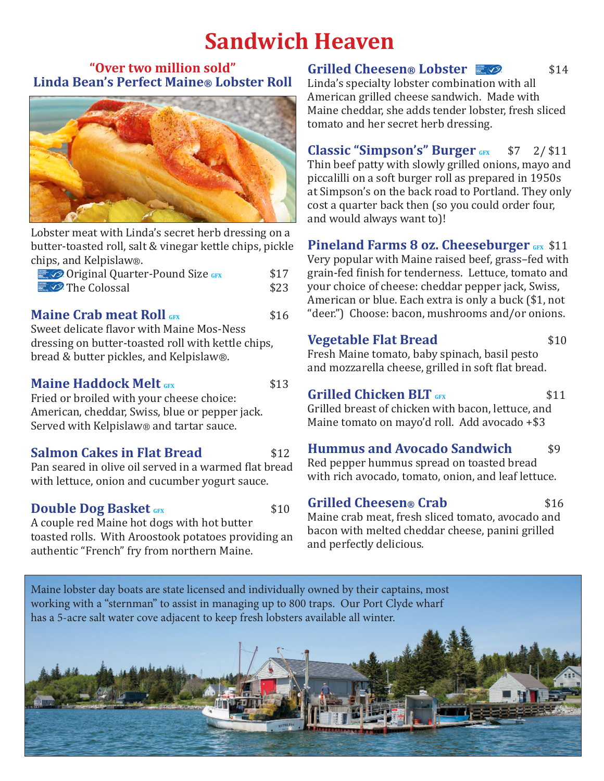# **Sandwich Heaven**

#### **"Over two million sold" Linda Bean's Perfect Maine® Lobster Roll**



Lobster meat with Linda's secret herb dressing on a butter-toasted roll, salt & vinegar kettle chips, pickle chips, and Kelpislaw®.

| © Original Quarter-Pound Size GFX | \$17 |
|-----------------------------------|------|
| <b>E O</b> The Colossal           | \$23 |

#### **Maine Crab meat Roll** GFX 816

Sweet delicate flavor with Maine Mos-Ness dressing on butter-toasted roll with kettle chips, bread & butter pickles, and Kelpislaw®.

#### **Maine Haddock Melt GFX** \$13

Fried or broiled with your cheese choice: American, cheddar, Swiss, blue or pepper jack. Served with Kelpislaw® and tartar sauce.

#### **Salmon Cakes in Flat Bread 512**

Pan seared in olive oil served in a warmed flat bread with lettuce, onion and cucumber yogurt sauce.

# **Double Dog Basket GFX** \$10

A couple red Maine hot dogs with hot butter toasted rolls. With Aroostook potatoes providing an authentic "French" fry from northern Maine.

# **Grilled Cheesen® Lobster**  $\blacksquare$  62 \$14

Linda's specialty lobster combination with all American grilled cheese sandwich. Made with Maine cheddar, she adds tender lobster, fresh sliced tomato and her secret herb dressing.

**Classic "Simpson's" Burger** GFX \$7 2/\$11 Thin beef patty with slowly grilled onions, mayo and piccalilli on a soft burger roll as prepared in 1950s at Simpson's on the back road to Portland. They only cost a quarter back then (so you could order four, and would always want to)!

#### **Pineland Farms 8 oz. Cheeseburger** GFX \$11

Very popular with Maine raised beef, grass–fed with grain-fed finish for tenderness. Lettuce, tomato and your choice of cheese: cheddar pepper jack, Swiss, American or blue. Each extra is only a buck (\$1, not "deer.") Choose: bacon, mushrooms and/or onions.

#### **Vegetable Flat Bread** \$10

Fresh Maine tomato, baby spinach, basil pesto and mozzarella cheese, grilled in soft flat bread.

# **Grilled Chicken BLT GFX** \$11

Grilled breast of chicken with bacon, lettuce, and Maine tomato on mayo'd roll. Add avocado +\$3

# **Hummus and Avocado Sandwich** \$9

Red pepper hummus spread on toasted bread with rich avocado, tomato, onion, and leaf lettuce.

# **Grilled Cheesen® Crab** \$16

Maine crab meat, fresh sliced tomato, avocado and bacon with melted cheddar cheese, panini grilled and perfectly delicious.

Maine lobster day boats are state licensed and individually owned by their captains, most working with a "sternman" to assist in managing up to 800 traps. Our Port Clyde wharf has a 5-acre salt water cove adjacent to keep fresh lobsters available all winter.

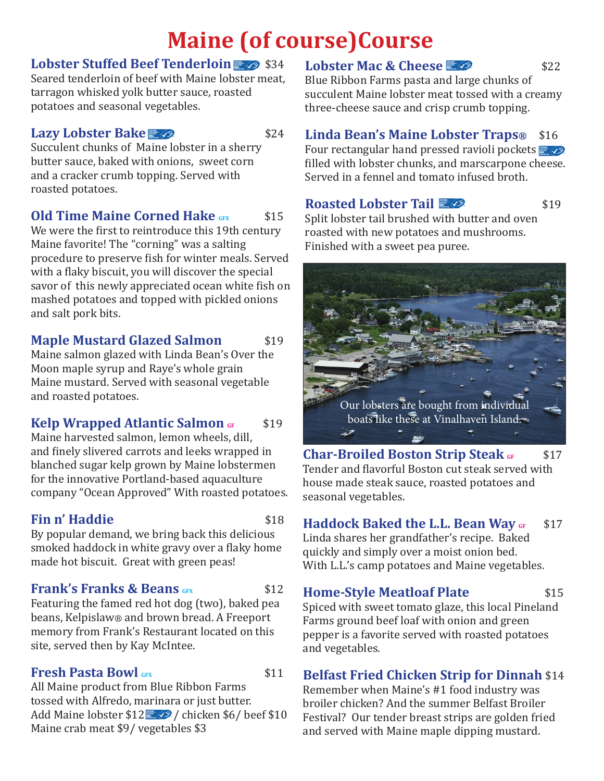# **Maine (of course)Course**

# **Lobster Stuffed Beef Tenderloin 34**

Seared tenderloin of beef with Maine lobster meat, tarragon whisked yolk butter sauce, roasted potatoes and seasonal vegetables.

# **Lazy Lobster Bake** *&*

Succulent chunks of Maine lobster in a sherry butter sauce, baked with onions, sweet corn and a cracker crumb topping. Served with roasted potatoes.

# **Old Time Maine Corned Hake GFX** \$15

We were the first to reintroduce this 19th century Maine favorite! The "corning" was a salting procedure to preserve fish for winter meals. Served with a flaky biscuit, you will discover the special savor of this newly appreciated ocean white fish on mashed potatoes and topped with pickled onions and salt pork bits.

# **Maple Mustard Glazed Salmon** \$19

Maine salmon glazed with Linda Bean's Over the Moon maple syrup and Raye's whole grain Maine mustard. Served with seasonal vegetable and roasted potatoes.

# **Kelp Wrapped Atlantic Salmon GF** \$19

Maine harvested salmon, lemon wheels, dill, and finely slivered carrots and leeks wrapped in blanched sugar kelp grown by Maine lobstermen for the innovative Portland-based aquaculture company "Ocean Approved" With roasted potatoes.

# **Fin n' Haddie** \$18

By popular demand, we bring back this delicious smoked haddock in white gravy over a flaky home made hot biscuit. Great with green peas!

# **Frank's Franks & Beans GFX** \$12

Featuring the famed red hot dog (two), baked pea beans, Kelpislaw® and brown bread. A Freeport memory from Frank's Restaurant located on this site, served then by Kay McIntee.

# **Fresh Pasta Bowl** GFX **\$11**

All Maine product from Blue Ribbon Farms tossed with Alfredo, marinara or just butter. Add Maine lobster  $12 \times 2$  / chicken \$6/ beef \$10 Maine crab meat \$9/ vegetables \$3

# **Lobster Mac & Cheese**  $\mathbb{Z}$   $\oslash$  \$22

Blue Ribbon Farms pasta and large chunks of succulent Maine lobster meat tossed with a creamy three-cheese sauce and crisp crumb topping.

# **Linda Bean's Maine Lobster Traps®** \$16

Four rectangular hand pressed ravioli pockets  $\Box$ filled with lobster chunks, and marscarpone cheese. Served in a fennel and tomato infused broth.

# **Roasted Lobster Tail <b>E**

Split lobster tail brushed with butter and oven roasted with new potatoes and mushrooms. Finished with a sweet pea puree.



**Char-Broiled Boston Strip Steak GF 817** Tender and flavorful Boston cut steak served with house made steak sauce, roasted potatoes and seasonal vegetables.

# **Haddock Baked the L.L. Bean Way GF** \$17

Linda shares her grandfather's recipe. Baked quickly and simply over a moist onion bed. With L.L.'s camp potatoes and Maine vegetables.

# **Home-Style Meatloaf Plate** \$15

Spiced with sweet tomato glaze, this local Pineland Farms ground beef loaf with onion and green pepper is a favorite served with roasted potatoes and vegetables.

# **Belfast Fried Chicken Strip for Dinnah** \$14

Remember when Maine's #1 food industry was broiler chicken? And the summer Belfast Broiler Festival? Our tender breast strips are golden fried and served with Maine maple dipping mustard.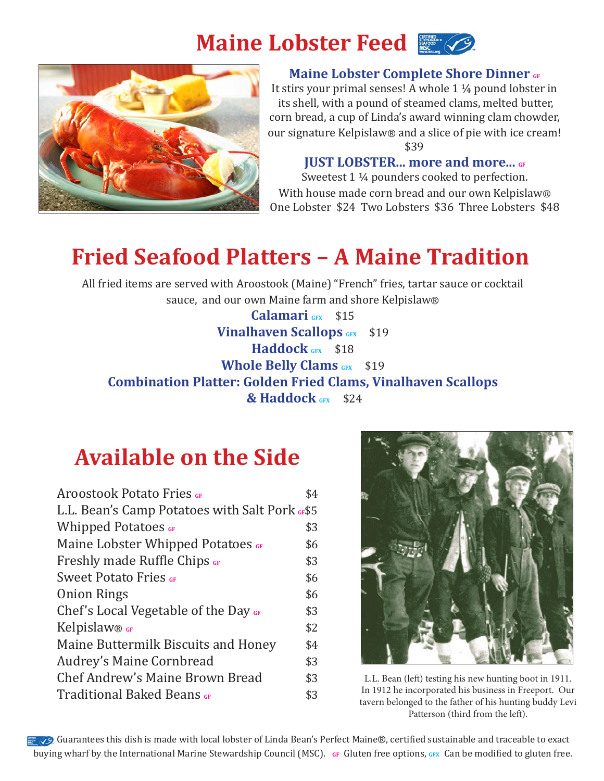



#### **Maine Lobster Complete Shore Dinner GF**

It stirs your primal senses! A whole 1 ¼ pound lobster in its shell, with a pound of steamed clams, melted butter, corn bread, a cup of Linda's award winning clam chowder, our signature Kelpislaw® and a slice of pie with ice cream! \$39

**JUST LOBSTER... more and more...** GF

Sweetest 1 ¼ pounders cooked to perfection. With house made corn bread and our own Kelpislaw® One Lobster \$24 Two Lobsters \$36 Three Lobsters \$48

# **Fried Seafood Platters – A Maine Tradition**

All fried items are served with Aroostook (Maine) "French" fries, tartar sauce or cocktail sauce, and our own Maine farm and shore Kelpislaw®

**Calamari GFX** \$15 **Vinalhaven Scallops** GFX \$19 **Haddock** GFX \$18 **Whole Belly Clams** GFX \$19 **Combination Platter: Golden Fried Clams, Vinalhaven Scallops & Haddock GFX** \$24

# **Available on the Side**

| <b>Aroostook Potato Fries GF</b>               | \$4 |
|------------------------------------------------|-----|
| L.L. Bean's Camp Potatoes with Salt Pork GF\$5 |     |
| Whipped Potatoes GF                            | \$3 |
| Maine Lobster Whipped Potatoes GF              | \$6 |
| <b>Freshly made Ruffle Chips GF</b>            | \$3 |
| <b>Sweet Potato Fries GF</b>                   | \$6 |
| <b>Onion Rings</b>                             | \$6 |
| Chef's Local Vegetable of the Day GF           | \$3 |
| Kelpislaw® GF                                  | \$2 |
| Maine Buttermilk Biscuits and Honey            | \$4 |
| Audrey's Maine Cornbread                       | \$3 |
| Chef Andrew's Maine Brown Bread                | \$3 |
| <b>Traditional Baked Beans</b> GF              | \$3 |
|                                                |     |



L.L. Bean (left) testing his new hunting boot in 1911. In 1912 he incorporated his business in Freeport. Our tavern belonged to the father of his hunting buddy Levi Patterson (third from the left).

Guarantees this dish is made with local lobster of Linda Bean's Perfect Maine®, certified sustainable and traceable to exact buying wharf by the International Marine Stewardship Council (MSC). GF Gluten free options, GFX Can be modified to gluten free.